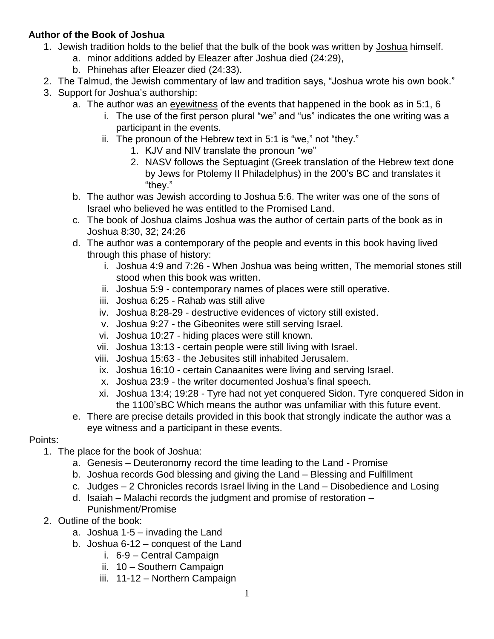## **Author of the Book of Joshua**

- 1. Jewish tradition holds to the belief that the bulk of the book was written by Joshua himself.
	- a. minor additions added by Eleazer after Joshua died (24:29),
	- b. Phinehas after Eleazer died (24:33).
- 2. The Talmud, the Jewish commentary of law and tradition says, "Joshua wrote his own book."
- 3. Support for Joshua's authorship:
	- a. The author was an eyewitness of the events that happened in the book as in 5:1, 6
		- i. The use of the first person plural "we" and "us" indicates the one writing was a participant in the events.
		- ii. The pronoun of the Hebrew text in 5:1 is "we," not "they."
			- 1. KJV and NIV translate the pronoun "we"
			- 2. NASV follows the Septuagint (Greek translation of the Hebrew text done by Jews for Ptolemy II Philadelphus) in the 200's BC and translates it "they."
	- b. The author was Jewish according to Joshua 5:6. The writer was one of the sons of Israel who believed he was entitled to the Promised Land.
	- c. The book of Joshua claims Joshua was the author of certain parts of the book as in Joshua 8:30, 32; 24:26
	- d. The author was a contemporary of the people and events in this book having lived through this phase of history:
		- i. Joshua 4:9 and 7:26 When Joshua was being written, The memorial stones still stood when this book was written.
		- ii. Joshua 5:9 contemporary names of places were still operative.
		- iii. Joshua 6:25 Rahab was still alive
		- iv. Joshua 8:28-29 destructive evidences of victory still existed.
		- v. Joshua 9:27 the Gibeonites were still serving Israel.
		- vi. Joshua 10:27 hiding places were still known.
		- vii. Joshua 13:13 certain people were still living with Israel.
		- viii. Joshua 15:63 the Jebusites still inhabited Jerusalem.
		- ix. Joshua 16:10 certain Canaanites were living and serving Israel.
		- x. Joshua 23:9 the writer documented Joshua's final speech.
		- xi. Joshua 13:4; 19:28 Tyre had not yet conquered Sidon. Tyre conquered Sidon in the 1100'sBC Which means the author was unfamiliar with this future event.
	- e. There are precise details provided in this book that strongly indicate the author was a eye witness and a participant in these events.

## Points:

- 1. The place for the book of Joshua:
	- a. Genesis Deuteronomy record the time leading to the Land Promise
	- b. Joshua records God blessing and giving the Land Blessing and Fulfillment
	- c. Judges 2 Chronicles records Israel living in the Land Disobedience and Losing
	- d. Isaiah Malachi records the judgment and promise of restoration Punishment/Promise
- 2. Outline of the book:
	- a. Joshua 1-5 invading the Land
	- b. Joshua 6-12 conquest of the Land
		- i. 6-9 Central Campaign
		- ii. 10 Southern Campaign
		- iii. 11-12 Northern Campaign